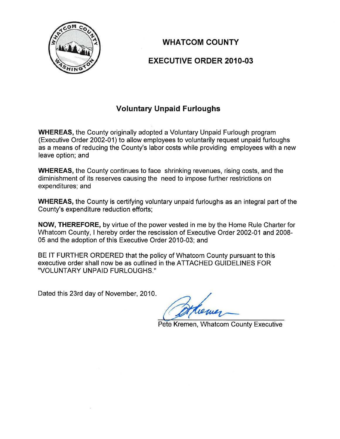

# **WHATCOM COUNTY**

## **EXECUTIVE ORDER 2010-03**

## **Voluntary Unpaid Furloughs**

**WHEREAS, the County originally adopted a Voluntary Unpaid Furlough program** (Executive Order 2002-01) to allow employees to voluntarily request unpaid furloughs as a means of reducing the County's labor costs while providing employees with a new leave option; and

**WHEREAS, the County continues to face shrinking revenues, rising costs, and the** diminishment of its reserves causing the need to impose further restrictions on expenditures; and

**WHEREAS, the County is certifying voluntary unpaid furloughs as an integral part of the** County's expenditure reduction efforts;

NOW, THEREFORE, by virtue of the power vested in me by the Home Rule Charter for Whatcom County, I hereby order the rescission of Executive Order 2002-01 and 2008-05 and the adoption of this Executive Order 2010-03; and

BE IT FURTHER ORDERED that the policy of Whatcom County pursuant to this executive order shall now be as outlined in the ATTACHED GUIDELINES FOR "VOLUNTARY UNPAID FURLOUGHS."

Dated this 23rd day of November, 2010.

Pete Kremen, Whatcom County Executive